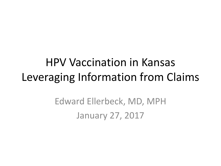## HPV Vaccination in Kansas Leveraging Information from Claims

Edward Ellerbeck, MD, MPH January 27, 2017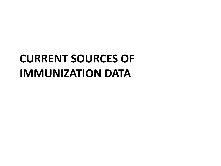# **CURRENT SOURCES OF IMMUNIZATION DATA**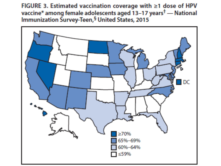FIGURE 3. Estimated vaccination coverage with ≥1 dose of HPV vaccine\* among female adolescents aged  $13-17$  years<sup>†</sup> — National Immunization Survey-Teen, § United States, 2015

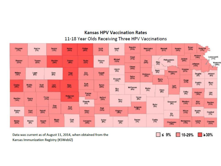#### **Kansas HPV Vaccination Rates** 11-18 Year Olds Receiving Three HPV Vaccinations



Data was current as of August 11, 2014, when obtained from the Kansas Immunization Registry (KSWebIZ)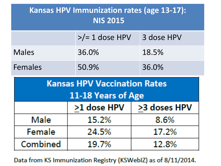| <b>Kansas HPV Immunization rates (age 13-17):</b><br><b>NIS 2015</b> |                          |              |  |  |  |
|----------------------------------------------------------------------|--------------------------|--------------|--|--|--|
|                                                                      | $\frac{p}{2}$ 1 dose HPV | 3 dose HPV   |  |  |  |
| <b>Males</b>                                                         | 36.0%                    | 18.5%        |  |  |  |
| Females                                                              | 50.9%                    | 36.0%        |  |  |  |
| <b>Kansas HPV Vaccination Rates</b><br>11-18 Years of Age            |                          |              |  |  |  |
|                                                                      | >1 dose HPV              | >3 doses HPV |  |  |  |
| Male                                                                 | 15.2%<br>8.6%            |              |  |  |  |

Data from KS Immunization Registry (KSWebIZ) as of 8/11/2014.

17.2%

12.8%

24.5%

19.7%

Female

Combined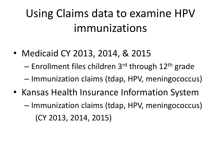# Using Claims data to examine HPV immunizations

• Medicaid CY 2013, 2014, & 2015

– Enrollment files children  $3<sup>rd</sup>$  through  $12<sup>th</sup>$  grade

- Immunization claims (tdap, HPV, meningococcus)
- Kansas Health Insurance Information System
	- Immunization claims (tdap, HPV, meningococcus) (CY 2013, 2014, 2015)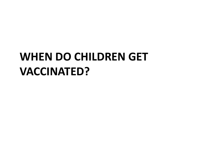# **WHEN DO CHILDREN GET VACCINATED?**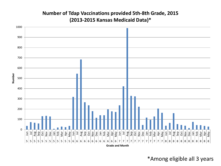#### **Number of Tdap Vaccinations provided 5th-8th Grade, 2015 (2013-2015 Kansas Medicaid Data)\***



\*Among eligible all 3 years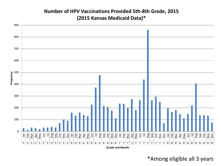#### **Number of HPV Vaccinations Provided 5th-8th Grade, 2015 (2015 Kansas Medicaid Data)\***



\*Among eligible all 3 years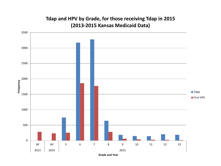#### **Tdap and HPV by Grade, for those receiving Tdap in 2015 (2013-2015 Kansas Medicaid Data)**

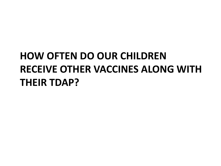## **HOW OFTEN DO OUR CHILDREN RECEIVE OTHER VACCINES ALONG WITH THEIR TDAP?**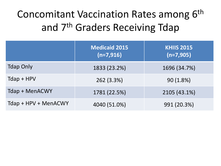### Concomitant Vaccination Rates among 6<sup>th</sup> and 7th Graders Receiving Tdap

|                       | <b>Medicaid 2015</b><br>$(n=7,916)$ | <b>KHIIS 2015</b><br>$(n=7,905)$ |
|-----------------------|-------------------------------------|----------------------------------|
| <b>Tdap Only</b>      | 1833 (23.2%)                        | 1696 (34.7%)                     |
| $T$ dap + HPV         | 262 (3.3%)                          | 90(1.8%)                         |
| <b>Tdap + MenACWY</b> | 1781 (22.5%)                        | 2105 (43.1%)                     |
| Tdap + HPV + MenACWY  | 4040 (51.0%)                        | 991 (20.3%)                      |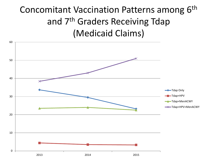#### Concomitant Vaccination Patterns among 6<sup>th</sup> and 7th Graders Receiving Tdap (Medicaid Claims)

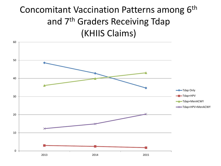#### Concomitant Vaccination Patterns among 6<sup>th</sup> and 7th Graders Receiving Tdap (KHIIS Claims)

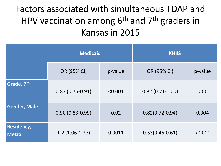Factors associated with simultaneous TDAP and HPV vaccination among  $6<sup>th</sup>$  and  $7<sup>th</sup>$  graders in Kansas in 2015

|                                   | <b>Medicaid</b>     |         | <b>KHIIS</b>        |         |
|-----------------------------------|---------------------|---------|---------------------|---------|
|                                   | OR (95% CI)         | p-value | OR (95% CI)         | p-value |
| Grade, 7th                        | $0.83(0.76-0.91)$   | < 0.001 | $0.82(0.71-1.00)$   | 0.06    |
| <b>Gender, Male</b>               | $0.90(0.83 - 0.99)$ | 0.02    | $0.82(0.72 - 0.94)$ | 0.004   |
| <b>Residency,</b><br><b>Metro</b> | $1.2(1.06-1.27)$    | 0.0011  | $0.53(0.46 - 0.61)$ | < 0.001 |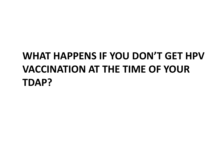### **WHAT HAPPENS IF YOU DON'T GET HPV VACCINATION AT THE TIME OF YOUR TDAP?**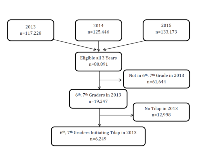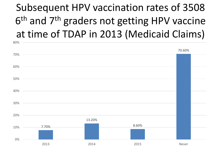## Subsequent HPV vaccination rates of 3508 6<sup>th</sup> and 7<sup>th</sup> graders not getting HPV vaccine at time of TDAP in 2013 (Medicaid Claims)

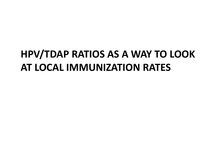### **HPV/TDAP RATIOS AS A WAY TO LOOK AT LOCAL IMMUNIZATION RATES**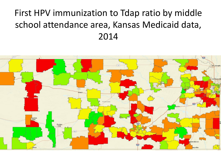#### First HPV immunization to Tdap ratio by middle school attendance area, Kansas Medicaid data, 2014

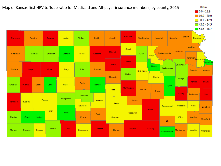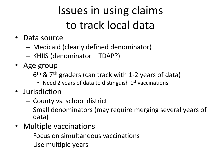# Issues in using claims to track local data

- Data source
	- Medicaid (clearly defined denominator)
	- KHIIS (denominator TDAP?)
- Age group
	- 6<sup>th</sup> & 7<sup>th</sup> graders (can track with 1-2 years of data)
		- Need 2 years of data to distinguish  $1<sup>st</sup>$  vaccinations
- Jurisdiction
	- County vs. school district
	- Small denominators (may require merging several years of data)
- Multiple vaccinations
	- Focus on simultaneous vaccinations
	- Use multiple years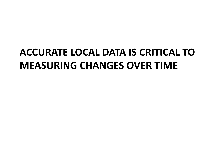### **ACCURATE LOCAL DATA IS CRITICAL TO MEASURING CHANGES OVER TIME**